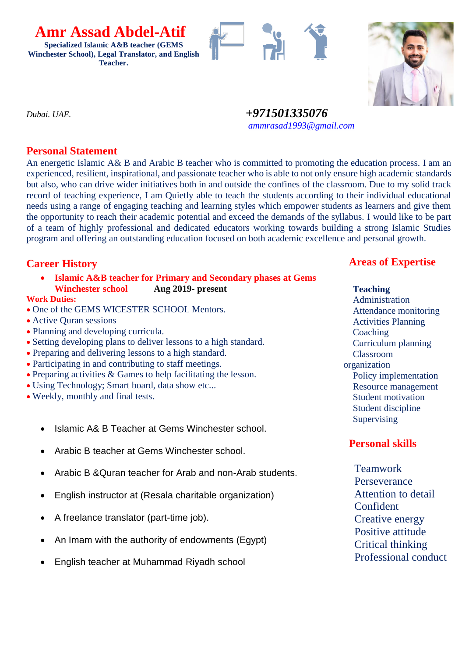**Specialized Islamic A&B teacher (GEMS Winchester School), Legal Translator, and English Teacher.**

 **Amr Assad Abdel-Atif**





*Dubai. UAE. +971501335076 [ammrasad1993@gmail.com](mailto:ammrasad1993@gmail.com)*

## **Personal Statement**

An energetic Islamic A& B and Arabic B teacher who is committed to promoting the education process. I am an experienced, resilient, inspirational, and passionate teacher who is able to not only ensure high academic standards but also, who can drive wider initiatives both in and outside the confines of the classroom. Due to my solid track record of teaching experience, I am Quietly able to teach the students according to their individual educational needs using a range of engaging teaching and learning styles which empower students as learners and give them the opportunity to reach their academic potential and exceed the demands of the syllabus. I would like to be part of a team of highly professional and dedicated educators working towards building a strong Islamic Studies program and offering an outstanding education focused on both academic excellence and personal growth.

# **Career History**

• **Islamic A&B teacher for Primary and Secondary phases at Gems Winchester school Aug 2019- present**

#### **Work Duties:**

- One of the GEMS WICESTER SCHOOL Mentors.
- Active Ouran sessions
- Planning and developing curricula.
- Setting developing plans to deliver lessons to a high standard.
- Preparing and delivering lessons to a high standard.
- Participating in and contributing to staff meetings.
- Preparing activities & Games to help facilitating the lesson.
- Using Technology; Smart board, data show etc...
- Weekly, monthly and final tests.
	- Islamic A& B Teacher at Gems Winchester school.
	- Arabic B teacher at Gems Winchester school.
	- Arabic B &Quran teacher for Arab and non-Arab students.
	- English instructor at (Resala charitable organization)
	- A freelance translator (part-time job).
	- An Imam with the authority of endowments (Egypt)
	- English teacher at Muhammad Riyadh school

# **Areas of Expertise**

#### **Teaching** Administration

 Attendance monitoring Activities Planning **Coaching**  Curriculum planning Classroom organization Policy implementation Resource management Student motivation Student discipline **Supervising** 

# **Personal skills**

 Teamwork Perseverance Attention to detail Confident Creative energy Positive attitude Critical thinking Professional conduct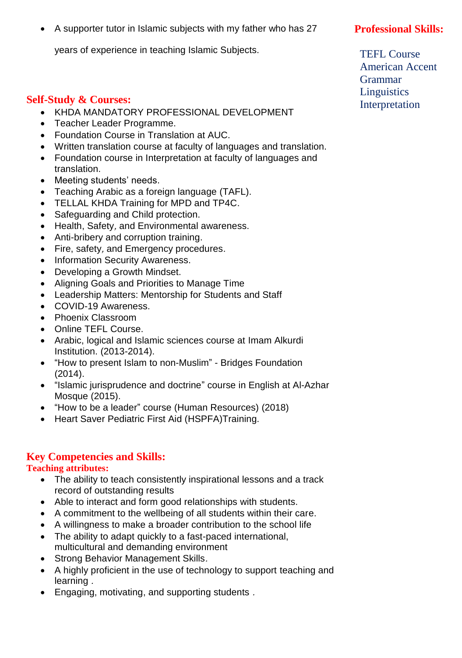• A supporter tutor in Islamic subjects with my father who has 27

years of experience in teaching Islamic Subjects.

### **Self-Study & Courses:**

- KHDA MANDATORY PROFESSIONAL DEVELOPMENT
- Teacher Leader Programme.
- Foundation Course in Translation at AUC.
- Written translation course at faculty of languages and translation.
- Foundation course in Interpretation at faculty of languages and translation.
- Meeting students' needs.
- Teaching Arabic as a foreign language (TAFL).
- TELLAL KHDA Training for MPD and TP4C.
- Safeguarding and Child protection.
- Health, Safety, and Environmental awareness.
- Anti-bribery and corruption training.
- Fire, safety, and Emergency procedures.
- Information Security Awareness.
- Developing a Growth Mindset.
- Aligning Goals and Priorities to Manage Time
- Leadership Matters: Mentorship for Students and Staff
- COVID-19 Awareness.
- Phoenix Classroom
- Online TEFL Course.
- Arabic, logical and Islamic sciences course at Imam Alkurdi Institution. (2013-2014).
- "How to present Islam to non-Muslim" Bridges Foundation (2014).
- "Islamic jurisprudence and doctrine" course in English at Al-Azhar Mosque (2015).
- "How to be a leader" course (Human Resources) (2018)
- Heart Saver Pediatric First Aid (HSPFA)Training.

#### **Key Competencies and Skills:**

#### **Teaching attributes:**

- The ability to teach consistently inspirational lessons and a track record of outstanding results
- Able to interact and form good relationships with students.
- A commitment to the wellbeing of all students within their care.
- A willingness to make a broader contribution to the school life
- The ability to adapt quickly to a fast-paced international, multicultural and demanding environment
- Strong Behavior Management Skills.
- A highly proficient in the use of technology to support teaching and learning .
- Engaging, motivating, and supporting students .

# **Professional Skills:**

 TEFL Course American Accent Grammar **Linguistics** Interpretation